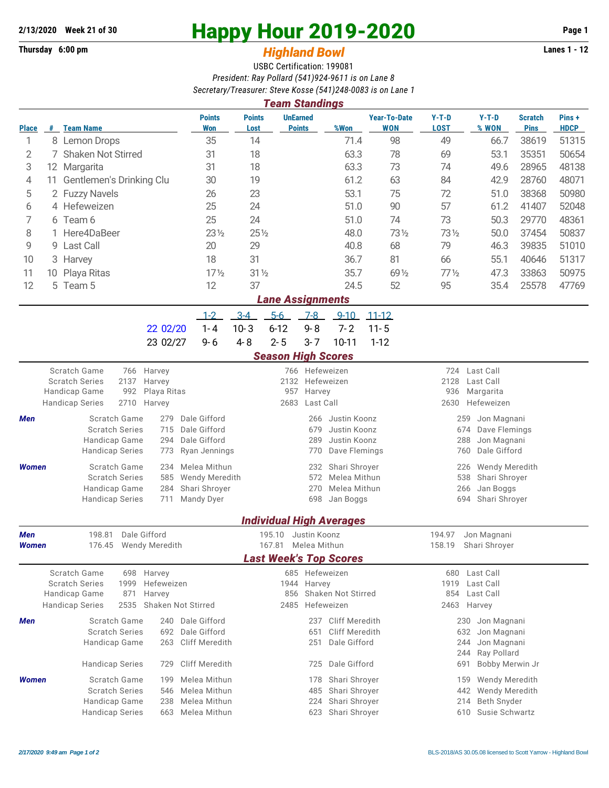## **Thursday 6:00 pm** *Highland Bowl*

## **2/13/2020** Week 21 of 30<br>
Thursday 6:00 pm<br> **Example 2019-2020** Page 1<br> **Example 2019-2020**

## USBC Certification: 199081 *President: Ray Pollard (541)924-9611 is on Lane 8 Secretary/Treasurer: Steve Kosse (541)248-0083 is on Lane 1*

| <b>Points</b><br><b>UnEarned</b><br><b>Year-To-Date</b><br>$Y-T-D$<br>$Y-T-D$<br>Pins+<br><b>Points</b><br><b>Scratch</b><br><b>WON</b><br><b>LOST</b><br>% WON<br><b>Pins</b><br><b>HDCP</b><br><b>Team Name</b><br>Won<br>Lost<br><b>Points</b><br>%Won<br><b>Place</b><br>#<br>35<br>14<br>71.4<br>98<br>49<br>38619<br>51315<br>1<br>8 Lemon Drops<br>66.7<br>63.3<br>78<br>50654<br>2<br>7 Shaken Not Stirred<br>31<br>18<br>69<br>53.1<br>35351<br>3<br>18<br>63.3<br>73<br>74<br>48138<br>31<br>49.6<br>28965<br>12 Margarita<br>61.2<br>63<br>48071<br>11 Gentlemen's Drinking Clu<br>30<br>19<br>84<br>42.9<br>28760<br>4<br>5<br>53.1<br>75<br>72<br>50980<br>2 Fuzzy Navels<br>23<br>51.0<br>38368<br>26<br>4 Hefeweizen<br>25<br>24<br>51.0<br>90<br>57<br>61.2<br>41407<br>52048<br>6<br>73<br>7<br>25<br>24<br>51.0<br>74<br>50.3<br>29770<br>48361<br>6 Team 6<br>Here4DaBeer<br>$23\frac{1}{2}$<br>$25\frac{1}{2}$<br>48.0<br>731/2<br>731/2<br>37454<br>50837<br>8<br>50.0<br>20<br>29<br>40.8<br>68<br>79<br>39835<br>51010<br>9<br><b>Last Call</b><br>46.3<br>9<br>18<br>31<br>51317<br>36.7<br>81<br>66<br>55.1<br>40646<br>10<br>З<br>Harvey<br>$17\frac{1}{2}$<br>$31\frac{1}{2}$<br>35.7<br>$77\frac{1}{2}$<br>47.3<br>33863<br>50975<br>11<br>69 1/2<br>10 Playa Ritas<br>12<br>12<br>37<br>24.5<br>52<br>95<br>25578<br>47769<br>5 Team 5<br>35.4<br><b>Lane Assignments</b><br>$3-4$<br>$5-6$<br>$1 - 2$<br>$7 - 8$<br>$9 - 10$<br>$11 - 12$<br>$1 - 4$<br>$10 - 3$<br>$6 - 12$<br>$9 - 8$<br>$7 - 2$<br>$11 - 5$<br>22 02/20<br>$2 - 5$<br>23 02/27<br>$4 - 8$<br>$3 - 7$<br>$10 - 11$<br>$1 - 12$<br>$9 - 6$<br><b>Season High Scores</b><br>Scratch Game<br>766 Hefeweizen<br>724 Last Call<br>766 Harvey<br><b>Scratch Series</b><br>2137<br>2132 Hefeweizen<br>2128<br>Last Call<br>Harvey<br>Handicap Game<br>992<br>957 Harvey<br>936<br>Margarita<br>Playa Ritas<br><b>Handicap Series</b><br>2710<br>2683<br>Last Call<br>2630<br>Hefeweizen<br>Harvey<br>Dale Gifford<br>Scratch Game<br>Justin Koonz<br>259<br>Jon Magnani<br>279<br>266<br>Men<br>Dale Gifford<br><b>Scratch Series</b><br>715<br>Justin Koonz<br>674<br>Dave Flemings<br>679<br>Handicap Game<br>Dale Gifford<br>Justin Koonz<br>288<br>Jon Magnani<br>294<br>289<br>Dale Gifford<br><b>Handicap Series</b><br>Ryan Jennings<br>Dave Flemings<br>760<br>773<br>770<br>Scratch Game<br>Melea Mithun<br>Shari Shroyer<br>Wendy Meredith<br><b>Women</b><br>234<br>232<br>226<br><b>Scratch Series</b><br>Wendy Meredith<br>Melea Mithun<br>538<br>Shari Shroyer<br>585<br>572<br>Handicap Game<br>Shari Shroyer<br>Melea Mithun<br>Jan Boggs<br>284<br>270<br>266<br>Mandy Dyer<br>Shari Shroyer<br><b>Handicap Series</b><br>711<br>698<br>Jan Boggs<br>694<br><b>Individual High Averages</b><br>194.97<br>198.81 Dale Gifford<br>195.10 Justin Koonz<br>Jon Magnani<br>Men<br><b>Women</b><br>176.45 Wendy Meredith<br>167.81 Melea Mithun<br>158.19 Shari Shroyer<br><b>Last Week's Top Scores</b><br>Scratch Game<br>685 Hefeweizen<br>698<br>Harvey<br>680<br>Last Call<br><b>Scratch Series</b><br>1999<br>Hefeweizen<br>1944 Harvey<br>1919<br>Last Call<br>Shaken Not Stirred<br>Handicap Game<br>871<br>856<br>854 Last Call<br>Harvey<br><b>Handicap Series</b><br>2535<br>Shaken Not Stirred<br>2485 Hefeweizen<br>2463 Harvey<br>Scratch Game<br>Dale Gifford<br>237<br>Cliff Meredith<br>Jon Magnani<br>Men<br>240<br>230<br><b>Scratch Series</b><br>Dale Gifford<br><b>Cliff Meredith</b><br>651<br>632<br>Jon Magnani<br>692 | <b>Team Standings</b> |  |  |  |  |  |  |  |  |                              |  |  |  |  |  |  |  |
|-----------------------------------------------------------------------------------------------------------------------------------------------------------------------------------------------------------------------------------------------------------------------------------------------------------------------------------------------------------------------------------------------------------------------------------------------------------------------------------------------------------------------------------------------------------------------------------------------------------------------------------------------------------------------------------------------------------------------------------------------------------------------------------------------------------------------------------------------------------------------------------------------------------------------------------------------------------------------------------------------------------------------------------------------------------------------------------------------------------------------------------------------------------------------------------------------------------------------------------------------------------------------------------------------------------------------------------------------------------------------------------------------------------------------------------------------------------------------------------------------------------------------------------------------------------------------------------------------------------------------------------------------------------------------------------------------------------------------------------------------------------------------------------------------------------------------------------------------------------------------------------------------------------------------------------------------------------------------------------------------------------------------------------------------------------------------------------------------------------------------------------------------------------------------------------------------------------------------------------------------------------------------------------------------------------------------------------------------------------------------------------------------------------------------------------------------------------------------------------------------------------------------------------------------------------------------------------------------------------------------------------------------------------------------------------------------------------------------------------------------------------------------------------------------------------------------------------------------------------------------------------------------------------------------------------------------------------------------------------------------------------------------------------------------------------------------------------------------------------------------------------------------------------------------------------------------------------------------------------------------------------------------------------------------------------------------------------------------------------------------------------------------------------------------------------------------------------------------------------------------------------------------------------------------------|-----------------------|--|--|--|--|--|--|--|--|------------------------------|--|--|--|--|--|--|--|
|                                                                                                                                                                                                                                                                                                                                                                                                                                                                                                                                                                                                                                                                                                                                                                                                                                                                                                                                                                                                                                                                                                                                                                                                                                                                                                                                                                                                                                                                                                                                                                                                                                                                                                                                                                                                                                                                                                                                                                                                                                                                                                                                                                                                                                                                                                                                                                                                                                                                                                                                                                                                                                                                                                                                                                                                                                                                                                                                                                                                                                                                                                                                                                                                                                                                                                                                                                                                                                                                                                                                                     |                       |  |  |  |  |  |  |  |  |                              |  |  |  |  |  |  |  |
|                                                                                                                                                                                                                                                                                                                                                                                                                                                                                                                                                                                                                                                                                                                                                                                                                                                                                                                                                                                                                                                                                                                                                                                                                                                                                                                                                                                                                                                                                                                                                                                                                                                                                                                                                                                                                                                                                                                                                                                                                                                                                                                                                                                                                                                                                                                                                                                                                                                                                                                                                                                                                                                                                                                                                                                                                                                                                                                                                                                                                                                                                                                                                                                                                                                                                                                                                                                                                                                                                                                                                     |                       |  |  |  |  |  |  |  |  |                              |  |  |  |  |  |  |  |
|                                                                                                                                                                                                                                                                                                                                                                                                                                                                                                                                                                                                                                                                                                                                                                                                                                                                                                                                                                                                                                                                                                                                                                                                                                                                                                                                                                                                                                                                                                                                                                                                                                                                                                                                                                                                                                                                                                                                                                                                                                                                                                                                                                                                                                                                                                                                                                                                                                                                                                                                                                                                                                                                                                                                                                                                                                                                                                                                                                                                                                                                                                                                                                                                                                                                                                                                                                                                                                                                                                                                                     |                       |  |  |  |  |  |  |  |  |                              |  |  |  |  |  |  |  |
|                                                                                                                                                                                                                                                                                                                                                                                                                                                                                                                                                                                                                                                                                                                                                                                                                                                                                                                                                                                                                                                                                                                                                                                                                                                                                                                                                                                                                                                                                                                                                                                                                                                                                                                                                                                                                                                                                                                                                                                                                                                                                                                                                                                                                                                                                                                                                                                                                                                                                                                                                                                                                                                                                                                                                                                                                                                                                                                                                                                                                                                                                                                                                                                                                                                                                                                                                                                                                                                                                                                                                     |                       |  |  |  |  |  |  |  |  |                              |  |  |  |  |  |  |  |
|                                                                                                                                                                                                                                                                                                                                                                                                                                                                                                                                                                                                                                                                                                                                                                                                                                                                                                                                                                                                                                                                                                                                                                                                                                                                                                                                                                                                                                                                                                                                                                                                                                                                                                                                                                                                                                                                                                                                                                                                                                                                                                                                                                                                                                                                                                                                                                                                                                                                                                                                                                                                                                                                                                                                                                                                                                                                                                                                                                                                                                                                                                                                                                                                                                                                                                                                                                                                                                                                                                                                                     |                       |  |  |  |  |  |  |  |  |                              |  |  |  |  |  |  |  |
|                                                                                                                                                                                                                                                                                                                                                                                                                                                                                                                                                                                                                                                                                                                                                                                                                                                                                                                                                                                                                                                                                                                                                                                                                                                                                                                                                                                                                                                                                                                                                                                                                                                                                                                                                                                                                                                                                                                                                                                                                                                                                                                                                                                                                                                                                                                                                                                                                                                                                                                                                                                                                                                                                                                                                                                                                                                                                                                                                                                                                                                                                                                                                                                                                                                                                                                                                                                                                                                                                                                                                     |                       |  |  |  |  |  |  |  |  |                              |  |  |  |  |  |  |  |
|                                                                                                                                                                                                                                                                                                                                                                                                                                                                                                                                                                                                                                                                                                                                                                                                                                                                                                                                                                                                                                                                                                                                                                                                                                                                                                                                                                                                                                                                                                                                                                                                                                                                                                                                                                                                                                                                                                                                                                                                                                                                                                                                                                                                                                                                                                                                                                                                                                                                                                                                                                                                                                                                                                                                                                                                                                                                                                                                                                                                                                                                                                                                                                                                                                                                                                                                                                                                                                                                                                                                                     |                       |  |  |  |  |  |  |  |  |                              |  |  |  |  |  |  |  |
|                                                                                                                                                                                                                                                                                                                                                                                                                                                                                                                                                                                                                                                                                                                                                                                                                                                                                                                                                                                                                                                                                                                                                                                                                                                                                                                                                                                                                                                                                                                                                                                                                                                                                                                                                                                                                                                                                                                                                                                                                                                                                                                                                                                                                                                                                                                                                                                                                                                                                                                                                                                                                                                                                                                                                                                                                                                                                                                                                                                                                                                                                                                                                                                                                                                                                                                                                                                                                                                                                                                                                     |                       |  |  |  |  |  |  |  |  |                              |  |  |  |  |  |  |  |
|                                                                                                                                                                                                                                                                                                                                                                                                                                                                                                                                                                                                                                                                                                                                                                                                                                                                                                                                                                                                                                                                                                                                                                                                                                                                                                                                                                                                                                                                                                                                                                                                                                                                                                                                                                                                                                                                                                                                                                                                                                                                                                                                                                                                                                                                                                                                                                                                                                                                                                                                                                                                                                                                                                                                                                                                                                                                                                                                                                                                                                                                                                                                                                                                                                                                                                                                                                                                                                                                                                                                                     |                       |  |  |  |  |  |  |  |  |                              |  |  |  |  |  |  |  |
|                                                                                                                                                                                                                                                                                                                                                                                                                                                                                                                                                                                                                                                                                                                                                                                                                                                                                                                                                                                                                                                                                                                                                                                                                                                                                                                                                                                                                                                                                                                                                                                                                                                                                                                                                                                                                                                                                                                                                                                                                                                                                                                                                                                                                                                                                                                                                                                                                                                                                                                                                                                                                                                                                                                                                                                                                                                                                                                                                                                                                                                                                                                                                                                                                                                                                                                                                                                                                                                                                                                                                     |                       |  |  |  |  |  |  |  |  |                              |  |  |  |  |  |  |  |
|                                                                                                                                                                                                                                                                                                                                                                                                                                                                                                                                                                                                                                                                                                                                                                                                                                                                                                                                                                                                                                                                                                                                                                                                                                                                                                                                                                                                                                                                                                                                                                                                                                                                                                                                                                                                                                                                                                                                                                                                                                                                                                                                                                                                                                                                                                                                                                                                                                                                                                                                                                                                                                                                                                                                                                                                                                                                                                                                                                                                                                                                                                                                                                                                                                                                                                                                                                                                                                                                                                                                                     |                       |  |  |  |  |  |  |  |  |                              |  |  |  |  |  |  |  |
|                                                                                                                                                                                                                                                                                                                                                                                                                                                                                                                                                                                                                                                                                                                                                                                                                                                                                                                                                                                                                                                                                                                                                                                                                                                                                                                                                                                                                                                                                                                                                                                                                                                                                                                                                                                                                                                                                                                                                                                                                                                                                                                                                                                                                                                                                                                                                                                                                                                                                                                                                                                                                                                                                                                                                                                                                                                                                                                                                                                                                                                                                                                                                                                                                                                                                                                                                                                                                                                                                                                                                     |                       |  |  |  |  |  |  |  |  |                              |  |  |  |  |  |  |  |
|                                                                                                                                                                                                                                                                                                                                                                                                                                                                                                                                                                                                                                                                                                                                                                                                                                                                                                                                                                                                                                                                                                                                                                                                                                                                                                                                                                                                                                                                                                                                                                                                                                                                                                                                                                                                                                                                                                                                                                                                                                                                                                                                                                                                                                                                                                                                                                                                                                                                                                                                                                                                                                                                                                                                                                                                                                                                                                                                                                                                                                                                                                                                                                                                                                                                                                                                                                                                                                                                                                                                                     |                       |  |  |  |  |  |  |  |  |                              |  |  |  |  |  |  |  |
|                                                                                                                                                                                                                                                                                                                                                                                                                                                                                                                                                                                                                                                                                                                                                                                                                                                                                                                                                                                                                                                                                                                                                                                                                                                                                                                                                                                                                                                                                                                                                                                                                                                                                                                                                                                                                                                                                                                                                                                                                                                                                                                                                                                                                                                                                                                                                                                                                                                                                                                                                                                                                                                                                                                                                                                                                                                                                                                                                                                                                                                                                                                                                                                                                                                                                                                                                                                                                                                                                                                                                     |                       |  |  |  |  |  |  |  |  |                              |  |  |  |  |  |  |  |
|                                                                                                                                                                                                                                                                                                                                                                                                                                                                                                                                                                                                                                                                                                                                                                                                                                                                                                                                                                                                                                                                                                                                                                                                                                                                                                                                                                                                                                                                                                                                                                                                                                                                                                                                                                                                                                                                                                                                                                                                                                                                                                                                                                                                                                                                                                                                                                                                                                                                                                                                                                                                                                                                                                                                                                                                                                                                                                                                                                                                                                                                                                                                                                                                                                                                                                                                                                                                                                                                                                                                                     |                       |  |  |  |  |  |  |  |  |                              |  |  |  |  |  |  |  |
|                                                                                                                                                                                                                                                                                                                                                                                                                                                                                                                                                                                                                                                                                                                                                                                                                                                                                                                                                                                                                                                                                                                                                                                                                                                                                                                                                                                                                                                                                                                                                                                                                                                                                                                                                                                                                                                                                                                                                                                                                                                                                                                                                                                                                                                                                                                                                                                                                                                                                                                                                                                                                                                                                                                                                                                                                                                                                                                                                                                                                                                                                                                                                                                                                                                                                                                                                                                                                                                                                                                                                     |                       |  |  |  |  |  |  |  |  |                              |  |  |  |  |  |  |  |
|                                                                                                                                                                                                                                                                                                                                                                                                                                                                                                                                                                                                                                                                                                                                                                                                                                                                                                                                                                                                                                                                                                                                                                                                                                                                                                                                                                                                                                                                                                                                                                                                                                                                                                                                                                                                                                                                                                                                                                                                                                                                                                                                                                                                                                                                                                                                                                                                                                                                                                                                                                                                                                                                                                                                                                                                                                                                                                                                                                                                                                                                                                                                                                                                                                                                                                                                                                                                                                                                                                                                                     |                       |  |  |  |  |  |  |  |  |                              |  |  |  |  |  |  |  |
|                                                                                                                                                                                                                                                                                                                                                                                                                                                                                                                                                                                                                                                                                                                                                                                                                                                                                                                                                                                                                                                                                                                                                                                                                                                                                                                                                                                                                                                                                                                                                                                                                                                                                                                                                                                                                                                                                                                                                                                                                                                                                                                                                                                                                                                                                                                                                                                                                                                                                                                                                                                                                                                                                                                                                                                                                                                                                                                                                                                                                                                                                                                                                                                                                                                                                                                                                                                                                                                                                                                                                     |                       |  |  |  |  |  |  |  |  |                              |  |  |  |  |  |  |  |
|                                                                                                                                                                                                                                                                                                                                                                                                                                                                                                                                                                                                                                                                                                                                                                                                                                                                                                                                                                                                                                                                                                                                                                                                                                                                                                                                                                                                                                                                                                                                                                                                                                                                                                                                                                                                                                                                                                                                                                                                                                                                                                                                                                                                                                                                                                                                                                                                                                                                                                                                                                                                                                                                                                                                                                                                                                                                                                                                                                                                                                                                                                                                                                                                                                                                                                                                                                                                                                                                                                                                                     |                       |  |  |  |  |  |  |  |  |                              |  |  |  |  |  |  |  |
|                                                                                                                                                                                                                                                                                                                                                                                                                                                                                                                                                                                                                                                                                                                                                                                                                                                                                                                                                                                                                                                                                                                                                                                                                                                                                                                                                                                                                                                                                                                                                                                                                                                                                                                                                                                                                                                                                                                                                                                                                                                                                                                                                                                                                                                                                                                                                                                                                                                                                                                                                                                                                                                                                                                                                                                                                                                                                                                                                                                                                                                                                                                                                                                                                                                                                                                                                                                                                                                                                                                                                     |                       |  |  |  |  |  |  |  |  |                              |  |  |  |  |  |  |  |
|                                                                                                                                                                                                                                                                                                                                                                                                                                                                                                                                                                                                                                                                                                                                                                                                                                                                                                                                                                                                                                                                                                                                                                                                                                                                                                                                                                                                                                                                                                                                                                                                                                                                                                                                                                                                                                                                                                                                                                                                                                                                                                                                                                                                                                                                                                                                                                                                                                                                                                                                                                                                                                                                                                                                                                                                                                                                                                                                                                                                                                                                                                                                                                                                                                                                                                                                                                                                                                                                                                                                                     |                       |  |  |  |  |  |  |  |  |                              |  |  |  |  |  |  |  |
|                                                                                                                                                                                                                                                                                                                                                                                                                                                                                                                                                                                                                                                                                                                                                                                                                                                                                                                                                                                                                                                                                                                                                                                                                                                                                                                                                                                                                                                                                                                                                                                                                                                                                                                                                                                                                                                                                                                                                                                                                                                                                                                                                                                                                                                                                                                                                                                                                                                                                                                                                                                                                                                                                                                                                                                                                                                                                                                                                                                                                                                                                                                                                                                                                                                                                                                                                                                                                                                                                                                                                     |                       |  |  |  |  |  |  |  |  |                              |  |  |  |  |  |  |  |
|                                                                                                                                                                                                                                                                                                                                                                                                                                                                                                                                                                                                                                                                                                                                                                                                                                                                                                                                                                                                                                                                                                                                                                                                                                                                                                                                                                                                                                                                                                                                                                                                                                                                                                                                                                                                                                                                                                                                                                                                                                                                                                                                                                                                                                                                                                                                                                                                                                                                                                                                                                                                                                                                                                                                                                                                                                                                                                                                                                                                                                                                                                                                                                                                                                                                                                                                                                                                                                                                                                                                                     |                       |  |  |  |  |  |  |  |  |                              |  |  |  |  |  |  |  |
|                                                                                                                                                                                                                                                                                                                                                                                                                                                                                                                                                                                                                                                                                                                                                                                                                                                                                                                                                                                                                                                                                                                                                                                                                                                                                                                                                                                                                                                                                                                                                                                                                                                                                                                                                                                                                                                                                                                                                                                                                                                                                                                                                                                                                                                                                                                                                                                                                                                                                                                                                                                                                                                                                                                                                                                                                                                                                                                                                                                                                                                                                                                                                                                                                                                                                                                                                                                                                                                                                                                                                     |                       |  |  |  |  |  |  |  |  |                              |  |  |  |  |  |  |  |
|                                                                                                                                                                                                                                                                                                                                                                                                                                                                                                                                                                                                                                                                                                                                                                                                                                                                                                                                                                                                                                                                                                                                                                                                                                                                                                                                                                                                                                                                                                                                                                                                                                                                                                                                                                                                                                                                                                                                                                                                                                                                                                                                                                                                                                                                                                                                                                                                                                                                                                                                                                                                                                                                                                                                                                                                                                                                                                                                                                                                                                                                                                                                                                                                                                                                                                                                                                                                                                                                                                                                                     |                       |  |  |  |  |  |  |  |  |                              |  |  |  |  |  |  |  |
|                                                                                                                                                                                                                                                                                                                                                                                                                                                                                                                                                                                                                                                                                                                                                                                                                                                                                                                                                                                                                                                                                                                                                                                                                                                                                                                                                                                                                                                                                                                                                                                                                                                                                                                                                                                                                                                                                                                                                                                                                                                                                                                                                                                                                                                                                                                                                                                                                                                                                                                                                                                                                                                                                                                                                                                                                                                                                                                                                                                                                                                                                                                                                                                                                                                                                                                                                                                                                                                                                                                                                     |                       |  |  |  |  |  |  |  |  |                              |  |  |  |  |  |  |  |
|                                                                                                                                                                                                                                                                                                                                                                                                                                                                                                                                                                                                                                                                                                                                                                                                                                                                                                                                                                                                                                                                                                                                                                                                                                                                                                                                                                                                                                                                                                                                                                                                                                                                                                                                                                                                                                                                                                                                                                                                                                                                                                                                                                                                                                                                                                                                                                                                                                                                                                                                                                                                                                                                                                                                                                                                                                                                                                                                                                                                                                                                                                                                                                                                                                                                                                                                                                                                                                                                                                                                                     |                       |  |  |  |  |  |  |  |  |                              |  |  |  |  |  |  |  |
|                                                                                                                                                                                                                                                                                                                                                                                                                                                                                                                                                                                                                                                                                                                                                                                                                                                                                                                                                                                                                                                                                                                                                                                                                                                                                                                                                                                                                                                                                                                                                                                                                                                                                                                                                                                                                                                                                                                                                                                                                                                                                                                                                                                                                                                                                                                                                                                                                                                                                                                                                                                                                                                                                                                                                                                                                                                                                                                                                                                                                                                                                                                                                                                                                                                                                                                                                                                                                                                                                                                                                     |                       |  |  |  |  |  |  |  |  |                              |  |  |  |  |  |  |  |
|                                                                                                                                                                                                                                                                                                                                                                                                                                                                                                                                                                                                                                                                                                                                                                                                                                                                                                                                                                                                                                                                                                                                                                                                                                                                                                                                                                                                                                                                                                                                                                                                                                                                                                                                                                                                                                                                                                                                                                                                                                                                                                                                                                                                                                                                                                                                                                                                                                                                                                                                                                                                                                                                                                                                                                                                                                                                                                                                                                                                                                                                                                                                                                                                                                                                                                                                                                                                                                                                                                                                                     |                       |  |  |  |  |  |  |  |  |                              |  |  |  |  |  |  |  |
|                                                                                                                                                                                                                                                                                                                                                                                                                                                                                                                                                                                                                                                                                                                                                                                                                                                                                                                                                                                                                                                                                                                                                                                                                                                                                                                                                                                                                                                                                                                                                                                                                                                                                                                                                                                                                                                                                                                                                                                                                                                                                                                                                                                                                                                                                                                                                                                                                                                                                                                                                                                                                                                                                                                                                                                                                                                                                                                                                                                                                                                                                                                                                                                                                                                                                                                                                                                                                                                                                                                                                     |                       |  |  |  |  |  |  |  |  |                              |  |  |  |  |  |  |  |
|                                                                                                                                                                                                                                                                                                                                                                                                                                                                                                                                                                                                                                                                                                                                                                                                                                                                                                                                                                                                                                                                                                                                                                                                                                                                                                                                                                                                                                                                                                                                                                                                                                                                                                                                                                                                                                                                                                                                                                                                                                                                                                                                                                                                                                                                                                                                                                                                                                                                                                                                                                                                                                                                                                                                                                                                                                                                                                                                                                                                                                                                                                                                                                                                                                                                                                                                                                                                                                                                                                                                                     |                       |  |  |  |  |  |  |  |  |                              |  |  |  |  |  |  |  |
|                                                                                                                                                                                                                                                                                                                                                                                                                                                                                                                                                                                                                                                                                                                                                                                                                                                                                                                                                                                                                                                                                                                                                                                                                                                                                                                                                                                                                                                                                                                                                                                                                                                                                                                                                                                                                                                                                                                                                                                                                                                                                                                                                                                                                                                                                                                                                                                                                                                                                                                                                                                                                                                                                                                                                                                                                                                                                                                                                                                                                                                                                                                                                                                                                                                                                                                                                                                                                                                                                                                                                     |                       |  |  |  |  |  |  |  |  |                              |  |  |  |  |  |  |  |
|                                                                                                                                                                                                                                                                                                                                                                                                                                                                                                                                                                                                                                                                                                                                                                                                                                                                                                                                                                                                                                                                                                                                                                                                                                                                                                                                                                                                                                                                                                                                                                                                                                                                                                                                                                                                                                                                                                                                                                                                                                                                                                                                                                                                                                                                                                                                                                                                                                                                                                                                                                                                                                                                                                                                                                                                                                                                                                                                                                                                                                                                                                                                                                                                                                                                                                                                                                                                                                                                                                                                                     |                       |  |  |  |  |  |  |  |  |                              |  |  |  |  |  |  |  |
|                                                                                                                                                                                                                                                                                                                                                                                                                                                                                                                                                                                                                                                                                                                                                                                                                                                                                                                                                                                                                                                                                                                                                                                                                                                                                                                                                                                                                                                                                                                                                                                                                                                                                                                                                                                                                                                                                                                                                                                                                                                                                                                                                                                                                                                                                                                                                                                                                                                                                                                                                                                                                                                                                                                                                                                                                                                                                                                                                                                                                                                                                                                                                                                                                                                                                                                                                                                                                                                                                                                                                     |                       |  |  |  |  |  |  |  |  |                              |  |  |  |  |  |  |  |
|                                                                                                                                                                                                                                                                                                                                                                                                                                                                                                                                                                                                                                                                                                                                                                                                                                                                                                                                                                                                                                                                                                                                                                                                                                                                                                                                                                                                                                                                                                                                                                                                                                                                                                                                                                                                                                                                                                                                                                                                                                                                                                                                                                                                                                                                                                                                                                                                                                                                                                                                                                                                                                                                                                                                                                                                                                                                                                                                                                                                                                                                                                                                                                                                                                                                                                                                                                                                                                                                                                                                                     |                       |  |  |  |  |  |  |  |  |                              |  |  |  |  |  |  |  |
|                                                                                                                                                                                                                                                                                                                                                                                                                                                                                                                                                                                                                                                                                                                                                                                                                                                                                                                                                                                                                                                                                                                                                                                                                                                                                                                                                                                                                                                                                                                                                                                                                                                                                                                                                                                                                                                                                                                                                                                                                                                                                                                                                                                                                                                                                                                                                                                                                                                                                                                                                                                                                                                                                                                                                                                                                                                                                                                                                                                                                                                                                                                                                                                                                                                                                                                                                                                                                                                                                                                                                     |                       |  |  |  |  |  |  |  |  |                              |  |  |  |  |  |  |  |
|                                                                                                                                                                                                                                                                                                                                                                                                                                                                                                                                                                                                                                                                                                                                                                                                                                                                                                                                                                                                                                                                                                                                                                                                                                                                                                                                                                                                                                                                                                                                                                                                                                                                                                                                                                                                                                                                                                                                                                                                                                                                                                                                                                                                                                                                                                                                                                                                                                                                                                                                                                                                                                                                                                                                                                                                                                                                                                                                                                                                                                                                                                                                                                                                                                                                                                                                                                                                                                                                                                                                                     |                       |  |  |  |  |  |  |  |  |                              |  |  |  |  |  |  |  |
|                                                                                                                                                                                                                                                                                                                                                                                                                                                                                                                                                                                                                                                                                                                                                                                                                                                                                                                                                                                                                                                                                                                                                                                                                                                                                                                                                                                                                                                                                                                                                                                                                                                                                                                                                                                                                                                                                                                                                                                                                                                                                                                                                                                                                                                                                                                                                                                                                                                                                                                                                                                                                                                                                                                                                                                                                                                                                                                                                                                                                                                                                                                                                                                                                                                                                                                                                                                                                                                                                                                                                     |                       |  |  |  |  |  |  |  |  |                              |  |  |  |  |  |  |  |
|                                                                                                                                                                                                                                                                                                                                                                                                                                                                                                                                                                                                                                                                                                                                                                                                                                                                                                                                                                                                                                                                                                                                                                                                                                                                                                                                                                                                                                                                                                                                                                                                                                                                                                                                                                                                                                                                                                                                                                                                                                                                                                                                                                                                                                                                                                                                                                                                                                                                                                                                                                                                                                                                                                                                                                                                                                                                                                                                                                                                                                                                                                                                                                                                                                                                                                                                                                                                                                                                                                                                                     |                       |  |  |  |  |  |  |  |  |                              |  |  |  |  |  |  |  |
| <b>Cliff Meredith</b><br>251<br>Dale Gifford<br>Jon Magnani<br>Handicap Game<br>244<br>263                                                                                                                                                                                                                                                                                                                                                                                                                                                                                                                                                                                                                                                                                                                                                                                                                                                                                                                                                                                                                                                                                                                                                                                                                                                                                                                                                                                                                                                                                                                                                                                                                                                                                                                                                                                                                                                                                                                                                                                                                                                                                                                                                                                                                                                                                                                                                                                                                                                                                                                                                                                                                                                                                                                                                                                                                                                                                                                                                                                                                                                                                                                                                                                                                                                                                                                                                                                                                                                          |                       |  |  |  |  |  |  |  |  | 244                          |  |  |  |  |  |  |  |
| Ray Pollard<br><b>Handicap Series</b><br><b>Cliff Meredith</b><br>Dale Gifford<br>729<br>725                                                                                                                                                                                                                                                                                                                                                                                                                                                                                                                                                                                                                                                                                                                                                                                                                                                                                                                                                                                                                                                                                                                                                                                                                                                                                                                                                                                                                                                                                                                                                                                                                                                                                                                                                                                                                                                                                                                                                                                                                                                                                                                                                                                                                                                                                                                                                                                                                                                                                                                                                                                                                                                                                                                                                                                                                                                                                                                                                                                                                                                                                                                                                                                                                                                                                                                                                                                                                                                        |                       |  |  |  |  |  |  |  |  | 691<br>Bobby Merwin Jr       |  |  |  |  |  |  |  |
|                                                                                                                                                                                                                                                                                                                                                                                                                                                                                                                                                                                                                                                                                                                                                                                                                                                                                                                                                                                                                                                                                                                                                                                                                                                                                                                                                                                                                                                                                                                                                                                                                                                                                                                                                                                                                                                                                                                                                                                                                                                                                                                                                                                                                                                                                                                                                                                                                                                                                                                                                                                                                                                                                                                                                                                                                                                                                                                                                                                                                                                                                                                                                                                                                                                                                                                                                                                                                                                                                                                                                     |                       |  |  |  |  |  |  |  |  |                              |  |  |  |  |  |  |  |
| Scratch Game<br>Melea Mithun<br>Shari Shroyer<br>199<br>178<br><b>Scratch Series</b><br>Melea Mithun<br>Shari Shroyer<br>Wendy Meredith<br>546<br>485<br>442                                                                                                                                                                                                                                                                                                                                                                                                                                                                                                                                                                                                                                                                                                                                                                                                                                                                                                                                                                                                                                                                                                                                                                                                                                                                                                                                                                                                                                                                                                                                                                                                                                                                                                                                                                                                                                                                                                                                                                                                                                                                                                                                                                                                                                                                                                                                                                                                                                                                                                                                                                                                                                                                                                                                                                                                                                                                                                                                                                                                                                                                                                                                                                                                                                                                                                                                                                                        | <b>Women</b>          |  |  |  |  |  |  |  |  | <b>Wendy Meredith</b><br>159 |  |  |  |  |  |  |  |
| Melea Mithun<br>Handicap Game<br>Shari Shroyer<br>Beth Snyder<br>238<br>224<br>214                                                                                                                                                                                                                                                                                                                                                                                                                                                                                                                                                                                                                                                                                                                                                                                                                                                                                                                                                                                                                                                                                                                                                                                                                                                                                                                                                                                                                                                                                                                                                                                                                                                                                                                                                                                                                                                                                                                                                                                                                                                                                                                                                                                                                                                                                                                                                                                                                                                                                                                                                                                                                                                                                                                                                                                                                                                                                                                                                                                                                                                                                                                                                                                                                                                                                                                                                                                                                                                                  |                       |  |  |  |  |  |  |  |  |                              |  |  |  |  |  |  |  |
| Shari Shroyer<br>610 Susie Schwartz<br><b>Handicap Series</b><br>Melea Mithun<br>623<br>663                                                                                                                                                                                                                                                                                                                                                                                                                                                                                                                                                                                                                                                                                                                                                                                                                                                                                                                                                                                                                                                                                                                                                                                                                                                                                                                                                                                                                                                                                                                                                                                                                                                                                                                                                                                                                                                                                                                                                                                                                                                                                                                                                                                                                                                                                                                                                                                                                                                                                                                                                                                                                                                                                                                                                                                                                                                                                                                                                                                                                                                                                                                                                                                                                                                                                                                                                                                                                                                         |                       |  |  |  |  |  |  |  |  |                              |  |  |  |  |  |  |  |